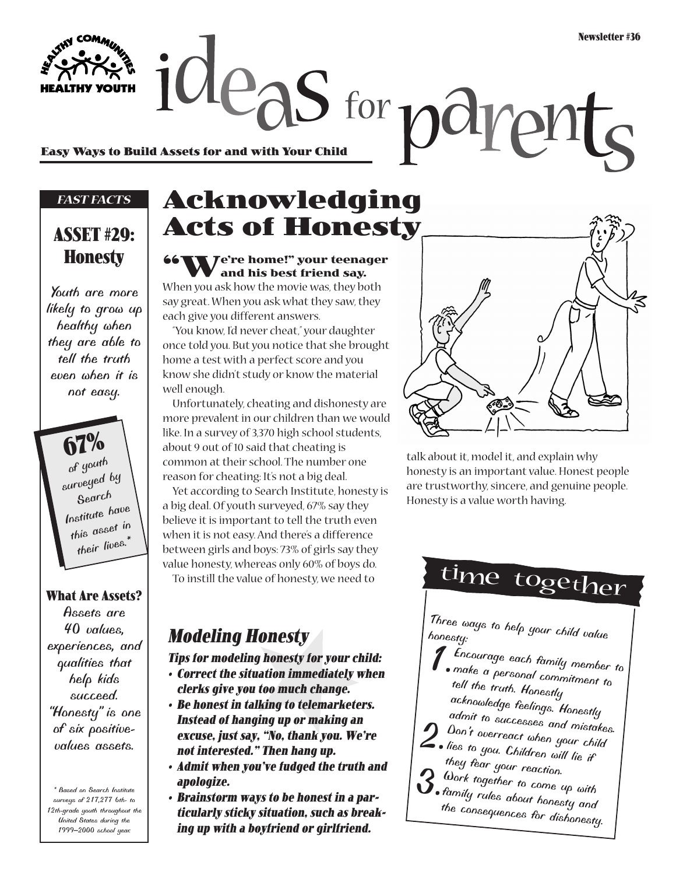Easy Ways to Build Assets for and with Your Child<br>Easy Ways to Build Assets for and with Your Child

#### *FAST FACTS*

#### **ASSET #29: Honesty**

*Youth are more likely to grow up healthy when they are able to tell the truth even when it is not easy.*

> **67%** *of youth surveyed by Search Institute have this asset in their lives.\**

#### **What Are Assets?**

*Assets are 40 values, experiences, and qualities that help kids succeed. "Honesty" is one of six positivevalues assets.*

*\* Based on Search Institute surveys of 217,277 6th- to 12th-grade youth throughout the United States during the 1999–2000 school year.*

## **Acknowledging Acts of Honesty**

#### **Te're home!" your teenager and his best friend say.**

When you ask how the movie was, they both say great. When you ask what they saw, they each give you different answers.

"You know, I'd never cheat," your daughter once told you. But you notice that she brought home a test with a perfect score and you know she didn't study or know the material well enough.

Unfortunately, cheating and dishonesty are more prevalent in our children than we would like. In a survey of 3,370 high school students, about 9 out of 10 said that cheating is common at their school. The number one reason for cheating: It's not a big deal.

Yet according to Search Institute, honesty is a big deal. Of youth surveyed, 67% say they believe it is important to tell the truth even when it is not easy. And there's a difference between girls and boys: 73% of girls say they value honesty, whereas only 60% of boys do. To instill the value of honesty, we need to

**Modeling Honesty**

**Tips for modeling honesty for your child:**

- **Correct the situation immediately when clerks give you too much change.**
- **Be honest in talking to telemarketers. Instead of hanging up or making an excuse, just say, "No, thank you. We're not interested." Then hang up.**
- **Admit when you've fudged the truth and apologize.**
- **Brainstorm ways to be honest in a particularly sticky situation, such as breaking up with a boyfriend or girlfriend.**



talk about it, model it, and explain why honesty is an important value. Honest people are trustworthy, sincere, and genuine people. Honesty is a value worth having.

# time together

*Three ways to help your child value honesty:*

- *1.Encourage each family member to make a personal commitment to tell the truth. Honestly acknowledge feelings. Honestly*
- *admit to successes and mistakes.*
- *2.Don't overreact when your child lies to you. Children will lie if*
- *they fear your reaction.*
- *3.Work together to come up with family rules about honesty and the consequences for dishonesty.*